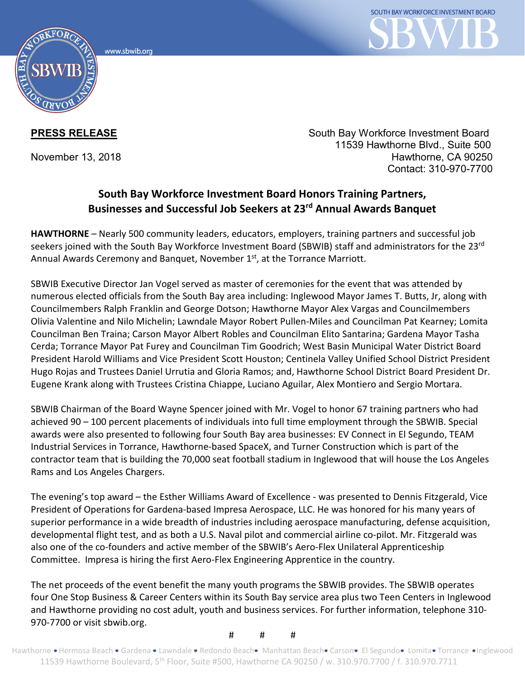



**PRESS RELEASE** South Bay Workforce Investment Board 11539 Hawthorne Blvd., Suite 500 November 13, 2018 **Hawthorne, CA 90250** Hawthorne, CA 90250 Contact: 310-970-7700

## **South Bay Workforce Investment Board Honors Training Partners, Businesses and Successful Job Seekers at 23rd Annual Awards Banquet**

**HAWTHORNE** – Nearly 500 community leaders, educators, employers, training partners and successful job seekers joined with the South Bay Workforce Investment Board (SBWIB) staff and administrators for the 23rd Annual Awards Ceremony and Banquet, November 1<sup>st</sup>, at the Torrance Marriott.

SBWIB Executive Director Jan Vogel served as master of ceremonies for the event that was attended by numerous elected officials from the South Bay area including: Inglewood Mayor James T. Butts, Jr, along with Councilmembers Ralph Franklin and George Dotson; Hawthorne Mayor Alex Vargas and Councilmembers Olivia Valentine and Nilo Michelin; Lawndale Mayor Robert Pullen-Miles and Councilman Pat Kearney; Lomita Councilman Ben Traina; Carson Mayor Albert Robles and Councilman Elito Santarina; Gardena Mayor Tasha Cerda; Torrance Mayor Pat Furey and Councilman Tim Goodrich; West Basin Municipal Water District Board President Harold Williams and Vice President Scott Houston; Centinela Valley Unified School District President Hugo Rojas and Trustees Daniel Urrutia and Gloria Ramos; and, Hawthorne School District Board President Dr. Eugene Krank along with Trustees Cristina Chiappe, Luciano Aguilar, Alex Montiero and Sergio Mortara.

SBWIB Chairman of the Board Wayne Spencer joined with Mr. Vogel to honor 67 training partners who had achieved 90 – 100 percent placements of individuals into full time employment through the SBWIB. Special awards were also presented to following four South Bay area businesses: EV Connect in El Segundo, TEAM Industrial Services in Torrance, Hawthorne-based SpaceX, and Turner Construction which is part of the contractor team that is building the 70,000 seat football stadium in Inglewood that will house the Los Angeles Rams and Los Angeles Chargers.

The evening's top award – the Esther Williams Award of Excellence - was presented to Dennis Fitzgerald, Vice President of Operations for Gardena-based Impresa Aerospace, LLC. He was honored for his many years of superior performance in a wide breadth of industries including aerospace manufacturing, defense acquisition, developmental flight test, and as both a U.S. Naval pilot and commercial airline co-pilot. Mr. Fitzgerald was also one of the co-founders and active member of the SBWIB's Aero-Flex Unilateral Apprenticeship Committee. Impresa is hiring the first Aero-Flex Engineering Apprentice in the country.

The net proceeds of the event benefit the many youth programs the SBWIB provides. The SBWIB operates four One Stop Business & Career Centers within its South Bay service area plus two Teen Centers in Inglewood and Hawthorne providing no cost adult, youth and business services. For further information, telephone 310- 970-7700 or visit sbwib.org.

# # #